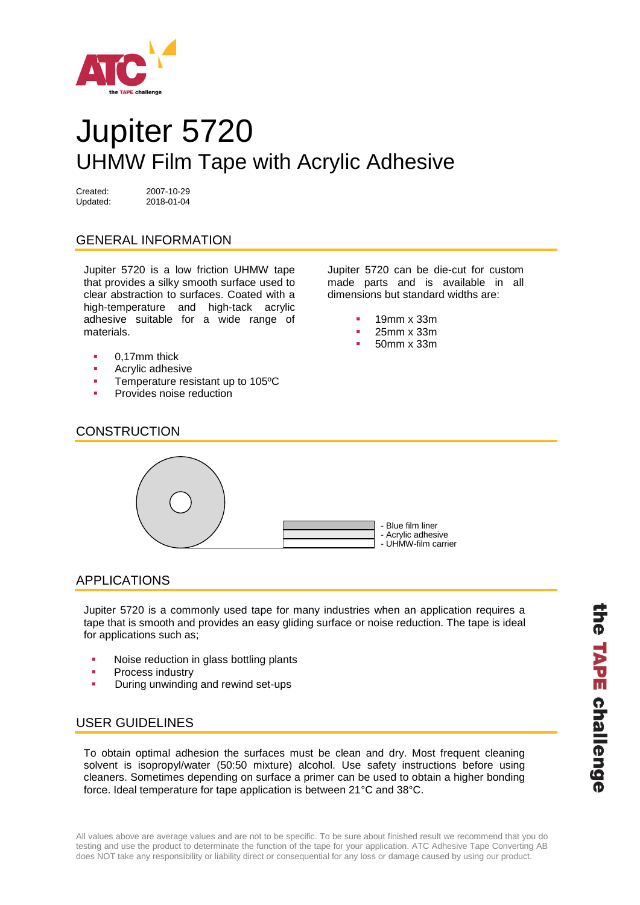

# Jupiter 5720 UHMW Film Tape with Acrylic Adhesive

Created: 2007-10-29 Updated: 2018-01-04

## GENERAL INFORMATION

Jupiter 5720 is a low friction UHMW tape that provides a silky smooth surface used to clear abstraction to surfaces. Coated with a high-temperature and high-tack acrylic adhesive suitable for a wide range of materials.

- 0,17mm thick
- **Acrylic adhesive**
- **Temperature resistant up to 105°C**
- Provides noise reduction

Jupiter 5720 can be die-cut for custom made parts and is available in all dimensions but standard widths are:

- 19mm x 33m
- **25mm x 33m**
- 50mm x 33m





### APPLICATIONS

Jupiter 5720 is a commonly used tape for many industries when an application requires a tape that is smooth and provides an easy gliding surface or noise reduction. The tape is ideal for applications such as;

- Noise reduction in glass bottling plants
- Process industry
- During unwinding and rewind set-ups

### USER GUIDELINES

To obtain optimal adhesion the surfaces must be clean and dry. Most frequent cleaning solvent is isopropyl/water (50:50 mixture) alcohol. Use safety instructions before using cleaners. Sometimes depending on surface a primer can be used to obtain a higher bonding force. Ideal temperature for tape application is between 21°C and 38°C.

All values above are average values and are not to be specific. To be sure about finished result we recommend that you do testing and use the product to determinate the function of the tape for your application. ATC Adhesive Tape Converting AB does NOT take any responsibility or liability direct or consequential for any loss or damage caused by using our product.